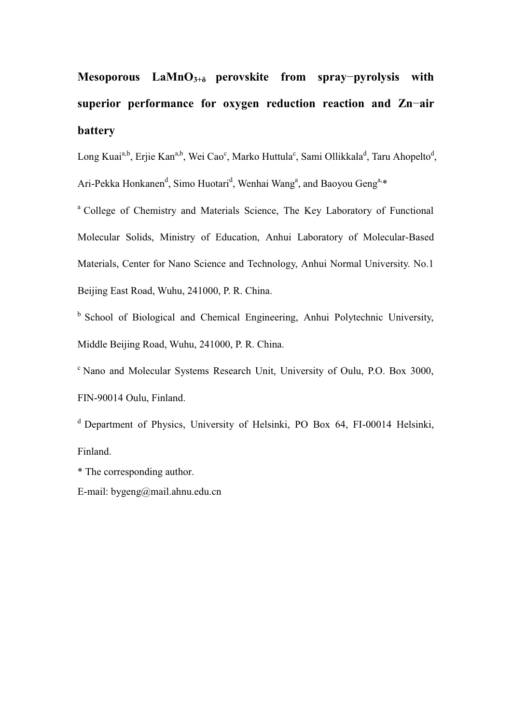# **Mesoporous LaMnO**<sup>3+8</sup> perovskite from spray-pyrolysis with **superior performance for oxygen reduction reaction and Zn-air battery**

Long Kuai<sup>a,b</sup>, Erjie Kan<sup>a,b</sup>, Wei Cao<sup>c</sup>, Marko Huttula<sup>c</sup>, Sami Ollikkala<sup>d</sup>, Taru Ahopelto<sup>d</sup>, Ari-Pekka Honkanen<sup>d</sup>, Simo Huotari<sup>d</sup>, Wenhai Wang<sup>a</sup>, and Baoyou Geng<sup>a,\*</sup>

a College of Chemistry and Materials Science, The Key Laboratory of Functional Molecular Solids, Ministry of Education, Anhui Laboratory of Molecular-Based Materials, Center for Nano Science and Technology, Anhui Normal University. No.1 Beijing East Road, Wuhu, 241000, P. R. China.

<sup>b</sup> School of Biological and Chemical Engineering, Anhui Polytechnic University, Middle Beijing Road, Wuhu, 241000, P. R. China.

c Nano and Molecular Systems Research Unit, University of Oulu, P.O. Box 3000, FIN-90014 Oulu, Finland.

d Department of Physics, University of Helsinki, PO Box 64, FI-00014 Helsinki, Finland.

\* The corresponding author.

E-mail: bygeng@mail.ahnu.edu.cn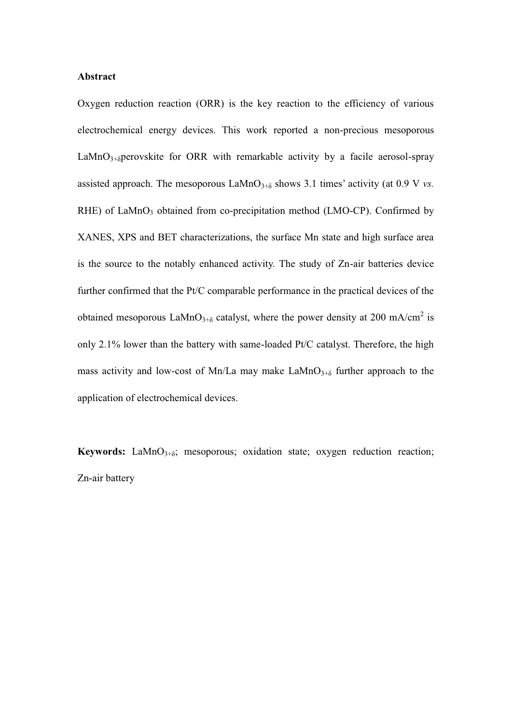## **Abstract**

Oxygen reduction reaction (ORR) is the key reaction to the efficiency of various electrochemical energy devices. This work reported a non-precious mesoporous  $\text{LaMnO}_{3+\delta}$  perovskite for ORR with remarkable activity by a facile aerosol-spray assisted approach. The mesoporous  $\text{LAMnO}_{3+\delta}$  shows 3.1 times' activity (at 0.9 V vs.  $RHE$ ) of LaMnO<sub>3</sub> obtained from co-precipitation method (LMO-CP). Confirmed by XANES, XPS and BET characterizations, the surface Mn state and high surface area is the source to the notably enhanced activity. The study of Zn-air batteries device further confirmed that the Pt/C comparable performance in the practical devices of the obtained mesoporous LaMnO<sub>3+8</sub> catalyst, where the power density at 200 mA/cm<sup>2</sup> is only 2.1% lower than the battery with same-loaded Pt/C catalyst. Therefore, the high mass activity and low-cost of Mn/La may make  $\text{LaMnO}_{3+\delta}$  further approach to the application of electrochemical devices.

**Keywords:** LaMnO<sub>3+ $\delta$ </sub>; mesoporous; oxidation state; oxygen reduction reaction; Zn-air battery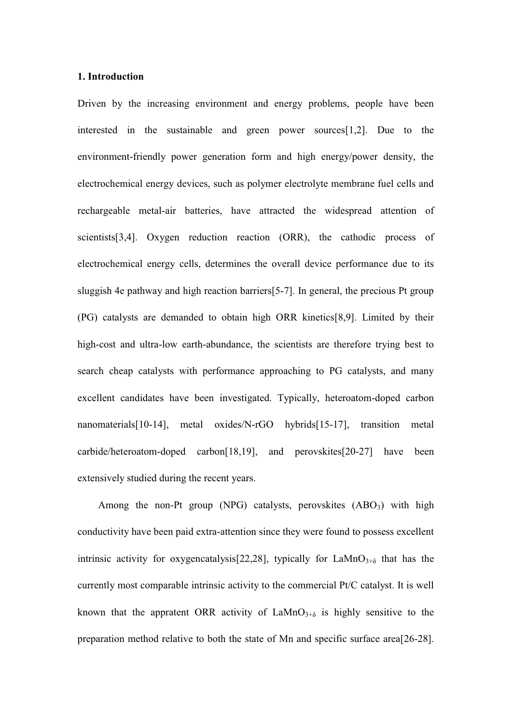## **1. Introduction**

Driven by the increasing environment and energy problems, people have been interested in the sustainable and green power sources[1,2]. Due to the environment-friendly power generation form and high energy/power density, the electrochemical energy devices, such as polymer electrolyte membrane fuel cells and rechargeable metal-air batteries, have attracted the widespread attention of scientists[3,4]. Oxygen reduction reaction (ORR), the cathodic process of electrochemical energy cells, determines the overall device performance due to its sluggish 4e pathway and high reaction barriers[5-7]. In general, the precious Pt group (PG) catalysts are demanded to obtain high ORR kinetics[8,9]. Limited by their high-cost and ultra-low earth-abundance, the scientists are therefore trying best to search cheap catalysts with performance approaching to PG catalysts, and many excellent candidates have been investigated. Typically, heteroatom-doped carbon nanomaterials[10-14], metal oxides/N-rGO hybrids[15-17], transition metal carbide/heteroatom-doped carbon[18,19], and perovskites[20-27] have been extensively studied during the recent years.

Among the non-Pt group (NPG) catalysts, perovskites  $(ABO<sub>3</sub>)$  with high conductivity have been paid extra-attention since they were found to possess excellent intrinsic activity for oxygencatalysis[22,28], typically for  $\text{LaMnO}_{3+\delta}$  that has the currently most comparable intrinsic activity to the commercial Pt/C catalyst. It is well known that the appratent ORR activity of  $\text{LaMnO}_{3+\delta}$  is highly sensitive to the preparation method relative to both the state of Mn and specific surface area[26-28].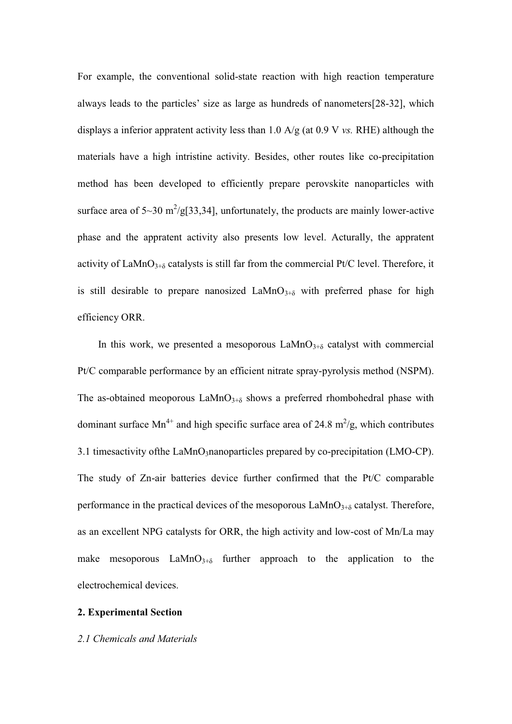For example, the conventional solid-state reaction with high reaction temperature always leads to the particles' size as large as hundreds of nanometers $[28-32]$ , which displays a inferior appratent activity less than 1.0 A/g (at 0.9 V *vs.* RHE) although the materials have a high intristine activity. Besides, other routes like co-precipitation method has been developed to efficiently prepare perovskite nanoparticles with surface area of  $5{\sim}30 \text{ m}^2/\text{g}$ [33,34], unfortunately, the products are mainly lower-active phase and the appratent activity also presents low level. Acturally, the appratent activity of LaMnO<sub>3+ $\delta$ </sub> catalysts is still far from the commercial Pt/C level. Therefore, it is still desirable to prepare nanosized  $\text{LaMnO}_{3+\delta}$  with preferred phase for high efficiency ORR.

In this work, we presented a mesoporous  $\text{LaMnO}_{3+\delta}$  catalyst with commercial Pt/C comparable performance by an efficient nitrate spray-pyrolysis method (NSPM). The as-obtained meoporous  $\text{LaMnO}_{3+\delta}$  shows a preferred rhombohedral phase with dominant surface Mn<sup>4+</sup> and high specific surface area of 24.8 m<sup>2</sup>/g, which contributes 3.1 timesactivity of the LaMnO<sub>3</sub>nanoparticles prepared by co-precipitation (LMO-CP). The study of Zn-air batteries device further confirmed that the Pt/C comparable performance in the practical devices of the mesoporous  $\text{LaMnO}_{3+\delta}$  catalyst. Therefore, as an excellent NPG catalysts for ORR, the high activity and low-cost of Mn/La may make mesoporous  $\text{LaMnO}_{3+\delta}$  further approach to the application to the electrochemical devices.

## **2. Experimental Section**

#### *2.1 Chemicals and Materials*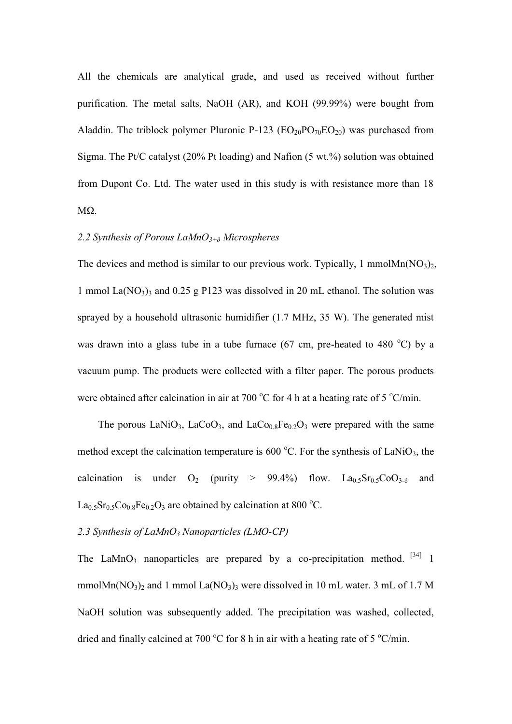All the chemicals are analytical grade, and used as received without further purification. The metal salts, NaOH (AR), and KOH (99.99%) were bought from Aladdin. The triblock polymer Pluronic P-123 ( $EO_{20}PO_{70}EO_{20}$ ) was purchased from Sigma. The Pt/C catalyst (20% Pt loading) and Nafion (5 wt.%) solution was obtained from Dupont Co. Ltd. The water used in this study is with resistance more than 18  $M\Omega$ .

# 2.2 Synthesis of Porous LaMnO<sup>3+8</sup> Microspheres

The devices and method is similar to our previous work. Typically, 1 mmol $Mn(NO<sub>3</sub>)<sub>2</sub>$ , 1 mmol La( $NO_3$ )<sub>3</sub> and 0.25 g P123 was dissolved in 20 mL ethanol. The solution was sprayed by a household ultrasonic humidifier (1.7 MHz, 35 W). The generated mist was drawn into a glass tube in a tube furnace  $(67 \text{ cm}, \text{ pre-heated to } 480 \degree \text{C})$  by a vacuum pump. The products were collected with a filter paper. The porous products were obtained after calcination in air at 700  $\rm{^{\circ}C}$  for 4 h at a heating rate of 5  $\rm{^{\circ}C/min}$ .

The porous LaNiO<sub>3</sub>, LaCoO<sub>3</sub>, and LaCo<sub>0.8</sub>Fe<sub>0.2</sub>O<sub>3</sub> were prepared with the same method except the calcination temperature is 600  $^{\circ}$ C. For the synthesis of LaNiO<sub>3</sub>, the calcination is under  $O_2$  (purity > 99.4%) flow.  $La<sub>0.5</sub>Sr<sub>0.5</sub>CoO<sub>3-δ</sub>$  and  $La<sub>0.5</sub>Sr<sub>0.5</sub>Co<sub>0.8</sub>Fe<sub>0.2</sub>O<sub>3</sub>$  are obtained by calcination at 800 °C.

## 2.3 Synthesis of LaMnO<sub>3</sub> Nanoparticles (LMO-CP)

The LaMnO<sub>3</sub> nanoparticles are prepared by a co-precipitation method.  $^{[34]}$  1 mmol $Mn(NO_3)$ <sub>2</sub> and 1 mmol La $(NO_3)$ <sub>3</sub> were dissolved in 10 mL water. 3 mL of 1.7 M NaOH solution was subsequently added. The precipitation was washed, collected, dried and finally calcined at 700  $\rm{^{\circ}C}$  for 8 h in air with a heating rate of 5  $\rm{^{\circ}C/min}$ .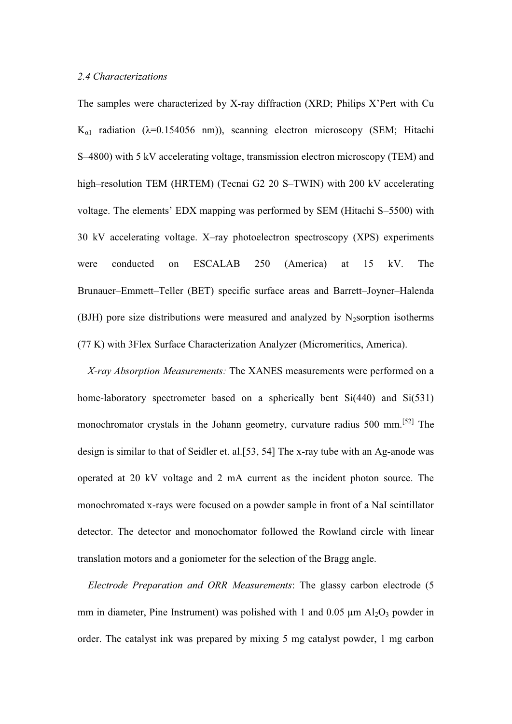## *2.4 Characterizations*

The samples were characterized by X-ray diffraction (XRD; Philips X'Pert with Cu  $K_{\alpha 1}$  radiation ( $\lambda$ =0.154056 nm)), scanning electron microscopy (SEM; Hitachi S-4800) with 5 kV accelerating voltage, transmission electron microscopy (TEM) and high-resolution TEM (HRTEM) (Tecnai G2 20 S-TWIN) with 200 kV accelerating voltage. The elements' EDX mapping was performed by SEM (Hitachi S-5500) with 30 kV accelerating voltage. X-ray photoelectron spectroscopy (XPS) experiments were conducted on ESCALAB 250 (America) at 15 kV. The Brunauer-Emmett-Teller (BET) specific surface areas and Barrett-Joyner-Halenda (BJH) pore size distributions were measured and analyzed by N<sub>2</sub>sorption isotherms (77 K) with 3Flex Surface Characterization Analyzer (Micromeritics, America).

*X-ray Absorption Measurements:* The XANES measurements were performed on a home-laboratory spectrometer based on a spherically bent Si(440) and Si(531) monochromator crystals in the Johann geometry, curvature radius 500 mm.<sup>[52]</sup> The design is similar to that of Seidler et. al.[53, 54] The x-ray tube with an Ag-anode was operated at 20 kV voltage and 2 mA current as the incident photon source. The monochromated x-rays were focused on a powder sample in front of a NaI scintillator detector. The detector and monochomator followed the Rowland circle with linear translation motors and a goniometer for the selection of the Bragg angle.

*Electrode Preparation and ORR Measurements*: The glassy carbon electrode (5 mm in diameter, Pine Instrument) was polished with 1 and 0.05  $\mu$ m Al<sub>2</sub>O<sub>3</sub> powder in order. The catalyst ink was prepared by mixing 5 mg catalyst powder, 1 mg carbon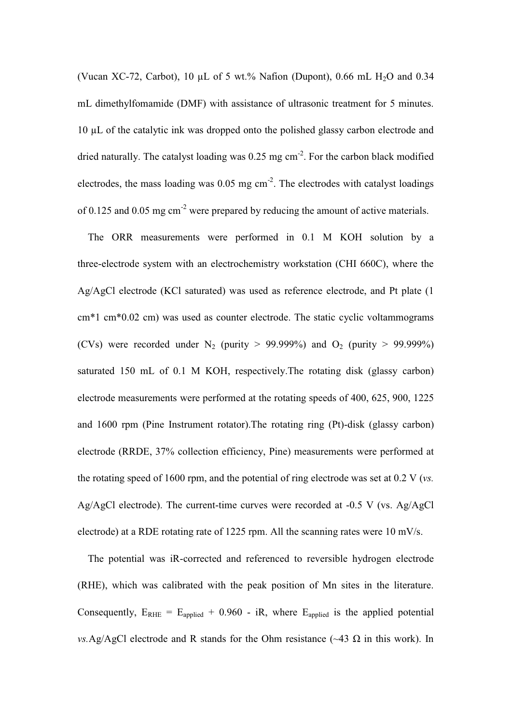(Vucan XC-72, Carbot), 10 µL of 5 wt.% Nafion (Dupont), 0.66 mL H<sub>2</sub>O and 0.34 mL dimethylfomamide (DMF) with assistance of ultrasonic treatment for 5 minutes. 10 µL of the catalytic ink was dropped onto the polished glassy carbon electrode and dried naturally. The catalyst loading was 0.25 mg cm<sup>-2</sup>. For the carbon black modified electrodes, the mass loading was  $0.05$  mg cm<sup>-2</sup>. The electrodes with catalyst loadings of 0.125 and 0.05 mg cm-2 were prepared by reducing the amount of active materials.

The ORR measurements were performed in 0.1 M KOH solution by a three-electrode system with an electrochemistry workstation (CHI 660C), where the Ag/AgCl electrode (KCl saturated) was used as reference electrode, and Pt plate (1 cm\*1 cm\*0.02 cm) was used as counter electrode. The static cyclic voltammograms (CVs) were recorded under N<sub>2</sub> (purity > 99.999%) and O<sub>2</sub> (purity > 99.999%) saturated 150 mL of 0.1 M KOH, respectively.The rotating disk (glassy carbon) electrode measurements were performed at the rotating speeds of 400, 625, 900, 1225 and 1600 rpm (Pine Instrument rotator).The rotating ring (Pt)-disk (glassy carbon) electrode (RRDE, 37% collection efficiency, Pine) measurements were performed at the rotating speed of 1600 rpm, and the potential of ring electrode was set at 0.2 V (*vs.* Ag/AgCl electrode). The current-time curves were recorded at -0.5 V (vs. Ag/AgCl electrode) at a RDE rotating rate of 1225 rpm. All the scanning rates were 10 mV/s.

The potential was iR-corrected and referenced to reversible hydrogen electrode (RHE), which was calibrated with the peak position of Mn sites in the literature. Consequently,  $E_{RHE} = E_{\text{applied}} + 0.960$  - iR, where  $E_{\text{applied}}$  is the applied potential *vs.Ag/AgCl electrode and R stands for the Ohm resistance*  $(\sim 43 \Omega)$  *in this work). In*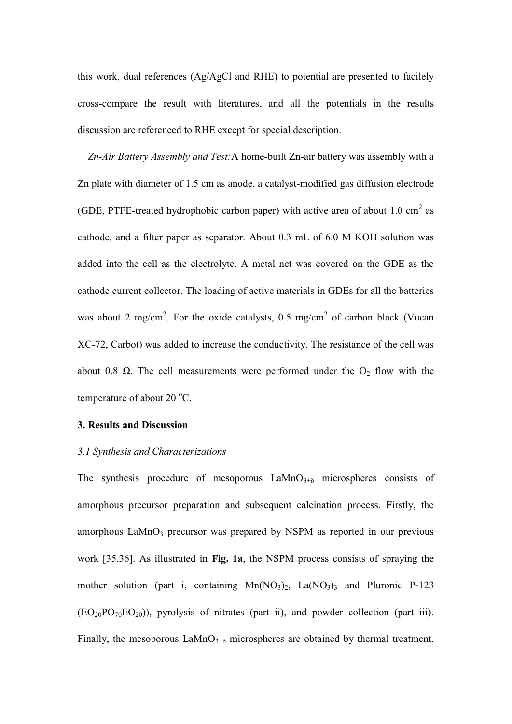this work, dual references (Ag/AgCl and RHE) to potential are presented to facilely cross-compare the result with literatures, and all the potentials in the results discussion are referenced to RHE except for special description.

*Zn-Air Battery Assembly and Test:*A home-built Zn-air battery was assembly with a Zn plate with diameter of 1.5 cm as anode, a catalyst-modified gas diffusion electrode (GDE, PTFE-treated hydrophobic carbon paper) with active area of about 1.0 cm<sup>2</sup> as cathode, and a filter paper as separator. About 0.3 mL of 6.0 M KOH solution was added into the cell as the electrolyte. A metal net was covered on the GDE as the cathode current collector. The loading of active materials in GDEs for all the batteries was about 2 mg/cm<sup>2</sup>. For the oxide catalysts, 0.5 mg/cm<sup>2</sup> of carbon black (Vucan XC-72, Carbot) was added to increase the conductivity. The resistance of the cell was about 0.8  $\Omega$ . The cell measurements were performed under the O<sub>2</sub> flow with the temperature of about  $20^{\circ}$ C.

#### **3. Results and Discussion**

#### *3.1 Synthesis and Characterizations*

The synthesis procedure of mesoporous  $LaMnO<sub>3+\delta</sub>$  microspheres consists of amorphous precursor preparation and subsequent calcination process. Firstly, the amorphous  $\text{LaMnO}_3$  precursor was prepared by NSPM as reported in our previous work [35,36]. As illustrated in **Fig. 1a**, the NSPM process consists of spraying the mother solution (part i, containing  $Mn(NO<sub>3</sub>)<sub>2</sub>$ , La $(NO<sub>3</sub>)<sub>3</sub>$  and Pluronic P-123  $(EO_{20}PO_{70}EO_{20})$ , pyrolysis of nitrates (part ii), and powder collection (part iii). Finally, the mesoporous  $\text{LaMnO}_{3+\delta}$  microspheres are obtained by thermal treatment.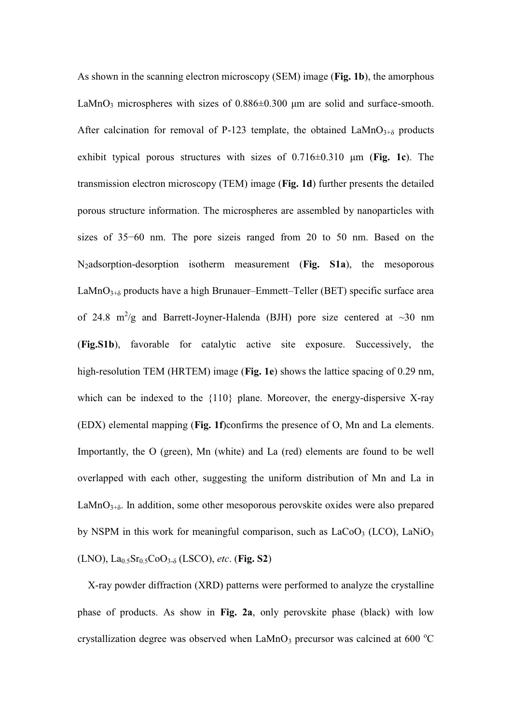As shown in the scanning electron microscopy (SEM) image (**Fig. 1b**), the amorphous LaMnO<sub>3</sub> microspheres with sizes of  $0.886 \pm 0.300$  µm are solid and surface-smooth. After calcination for removal of P-123 template, the obtained  $\text{LaMnO}_{3+\delta}$  products exhibit typical porous structures with sizes of  $0.716\pm0.310$  µm (Fig. 1c). The transmission electron microscopy (TEM) image (**Fig. 1d**) further presents the detailed porous structure information. The microspheres are assembled by nanoparticles with sizes of  $35-60$  nm. The pore size is ranged from 20 to 50 nm. Based on the N2adsorption-desorption isotherm measurement (**Fig. S1a**), the mesoporous LaMnO $_{3+\delta}$  products have a high Brunauer-Emmett-Teller (BET) specific surface area of 24.8  $m^2/g$  and Barrett-Joyner-Halenda (BJH) pore size centered at  $\sim$ 30 nm (**Fig.S1b**), favorable for catalytic active site exposure. Successively, the high-resolution TEM (HRTEM) image (**Fig. 1e**) shows the lattice spacing of 0.29 nm, which can be indexed to the {110} plane. Moreover, the energy-dispersive X-ray (EDX) elemental mapping (**Fig. 1f**)confirms the presence of O, Mn and La elements. Importantly, the O (green), Mn (white) and La (red) elements are found to be well overlapped with each other, suggesting the uniform distribution of Mn and La in LaMnO $_{3+\delta}$ . In addition, some other mesoporous perovskite oxides were also prepared by NSPM in this work for meaningful comparison, such as  $LaCoO<sub>3</sub> (LCO)$ ,  $LaNiO<sub>3</sub>$  $(LNO)$ ,  $La<sub>0.5</sub>Sr<sub>0.5</sub>CoO<sub>3-δ</sub> (LSCO)$ , *etc.* (**Fig. S2**)

X-ray powder diffraction (XRD) patterns were performed to analyze the crystalline phase of products. As show in **Fig. 2a**, only perovskite phase (black) with low crystallization degree was observed when  $\text{LaMnO}_3$  precursor was calcined at 600 °C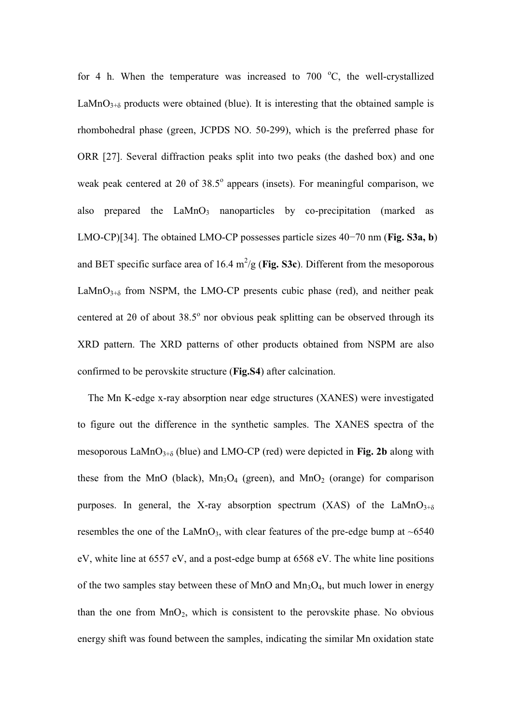for 4 h. When the temperature was increased to  $700\text{ °C}$ , the well-crystallized LaMnO $_{3+\delta}$  products were obtained (blue). It is interesting that the obtained sample is rhombohedral phase (green, JCPDS NO. 50-299), which is the preferred phase for ORR [27]. Several diffraction peaks split into two peaks (the dashed box) and one weak peak centered at 20 of 38.5 $^{\circ}$  appears (insets). For meaningful comparison, we also prepared the  $LaMnO<sub>3</sub>$  nanoparticles by co-precipitation (marked as LMO-CP)[34]. The obtained LMO-CP possesses particle sizes  $40-70$  nm (**Fig. S3a, b**) and BET specific surface area of  $16.4 \text{ m}^2/\text{g}$  (Fig. S3c). Different from the mesoporous LaMnO $_{3+\delta}$  from NSPM, the LMO-CP presents cubic phase (red), and neither peak centered at 20 of about 38.5 $^{\circ}$  nor obvious peak splitting can be observed through its XRD pattern. The XRD patterns of other products obtained from NSPM are also confirmed to be perovskite structure (**Fig.S4**) after calcination.

The Mn K-edge x-ray absorption near edge structures (XANES) were investigated to figure out the difference in the synthetic samples. The XANES spectra of the mesoporous LaMnO<sub>3+ $\delta$ </sub> (blue) and LMO-CP (red) were depicted in **Fig. 2b** along with these from the MnO (black),  $Mn_3O_4$  (green), and  $MnO_2$  (orange) for comparison purposes. In general, the X-ray absorption spectrum (XAS) of the LaMnO<sub>3+ $\delta$ </sub> resembles the one of the LaMnO<sub>3</sub>, with clear features of the pre-edge bump at  $~6540$ eV, white line at 6557 eV, and a post-edge bump at 6568 eV. The white line positions of the two samples stay between these of MnO and  $Mn_3O_4$ , but much lower in energy than the one from  $MnO_2$ , which is consistent to the perovskite phase. No obvious energy shift was found between the samples, indicating the similar Mn oxidation state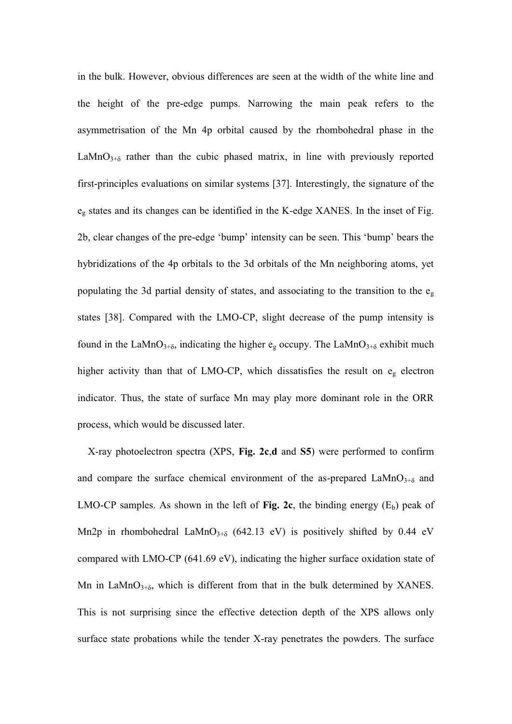in the bulk. However, obvious differences are seen at the width of the white line and the height of the pre-edge pumps. Narrowing the main peak refers to the asymmetrisation of the Mn 4p orbital caused by the rhombohedral phase in the LaMnO<sub>3+ $\delta$ </sub> rather than the cubic phased matrix, in line with previously reported first-principles evaluations on similar systems [37]. Interestingly, the signature of the  $e_{g}$  states and its changes can be identified in the K-edge XANES. In the inset of Fig. 2b, clear changes of the pre-edge 'bump' intensity can be seen. This 'bump' bears the hybridizations of the 4p orbitals to the 3d orbitals of the Mn neighboring atoms, yet populating the 3d partial density of states, and associating to the transition to the  $e<sub>g</sub>$ states [38]. Compared with the LMO-CP, slight decrease of the pump intensity is found in the LaMnO<sub>3+ $\delta$ </sub>, indicating the higher e<sub>g</sub> occupy. The LaMnO<sub>3+ $\delta$ </sub> exhibit much higher activity than that of LMO-CP, which dissatisfies the result on eg electron indicator. Thus, the state of surface Mn may play more dominant role in the ORR process, which would be discussed later.

X-ray photoelectron spectra (XPS, **Fig. 2c**,**d** and **S5**) were performed to confirm and compare the surface chemical environment of the as-prepared  $\text{LaMnO}_{3+\delta}$  and LMO-CP samples. As shown in the left of **Fig. 2c**, the binding energy  $(E_b)$  peak of Mn2p in rhombohedral LaMnO<sub>3+ $\delta$ </sub> (642.13 eV) is positively shifted by 0.44 eV compared with LMO-CP (641.69 eV), indicating the higher surface oxidation state of Mn in LaMn $O_{3+\delta}$ , which is different from that in the bulk determined by XANES. This is not surprising since the effective detection depth of the XPS allows only surface state probations while the tender X-ray penetrates the powders. The surface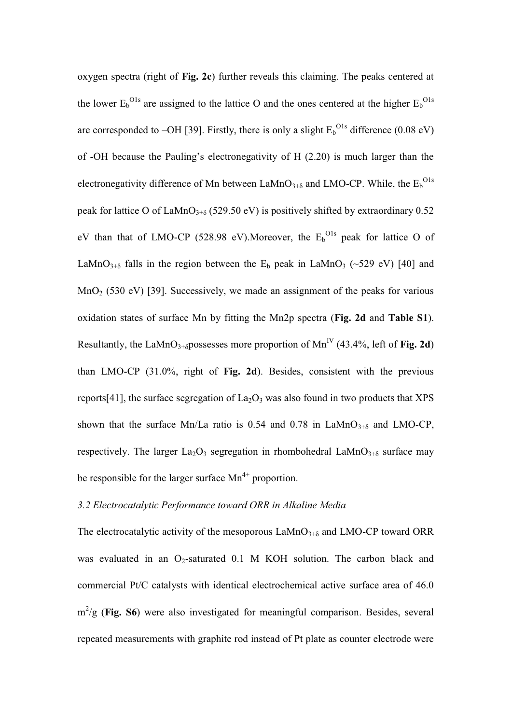oxygen spectra (right of **Fig. 2c**) further reveals this claiming. The peaks centered at the lower  $E_b$ <sup>O1s</sup> are assigned to the lattice O and the ones centered at the higher  $E_b$ <sup>O1s</sup> are corresponded to  $-OH$  [39]. Firstly, there is only a slight  $E_b^{O1s}$  difference (0.08 eV) of -OH because the Pauling's electronegativity of  $H(2.20)$  is much larger than the electronegativity difference of Mn between LaMnO<sub>3+8</sub> and LMO-CP. While, the  $E_b^{O1s}$ peak for lattice O of LaMnO<sub>3+ $\delta$ </sub> (529.50 eV) is positively shifted by extraordinary 0.52 eV than that of LMO-CP (528.98 eV). Moreover, the  $E_b^{O1s}$  peak for lattice O of LaMnO<sub>3+ $\delta$ </sub> falls in the region between the E<sub>b</sub> peak in LaMnO<sub>3</sub> (~529 eV) [40] and  $MnO<sub>2</sub>$  (530 eV) [39]. Successively, we made an assignment of the peaks for various oxidation states of surface Mn by fitting the Mn2p spectra (**Fig. 2d** and **Table S1**). Resultantly, the LaMnO<sub>3+8</sub> possesses more proportion of Mn<sup>IV</sup> (43.4%, left of **Fig. 2d**) than LMO-CP (31.0%, right of **Fig. 2d**). Besides, consistent with the previous reports[41], the surface segregation of  $La<sub>2</sub>O<sub>3</sub>$  was also found in two products that XPS shown that the surface Mn/La ratio is 0.54 and 0.78 in LaMnO<sub>3+8</sub> and LMO-CP, respectively. The larger  $La_2O_3$  segregation in rhombohedral LaMn $O_{3+\delta}$  surface may be responsible for the larger surface  $Mn^{4+}$  proportion.

# *3.2 Electrocatalytic Performance toward ORR in Alkaline Media*

The electrocatalytic activity of the mesoporous  $\text{LAMO}_{3+\delta}$  and  $\text{LMO-CP}$  toward ORR was evaluated in an  $O_2$ -saturated 0.1 M KOH solution. The carbon black and commercial Pt/C catalysts with identical electrochemical active surface area of 46.0 m<sup>2</sup>/g (**Fig. S6**) were also investigated for meaningful comparison. Besides, several repeated measurements with graphite rod instead of Pt plate as counter electrode were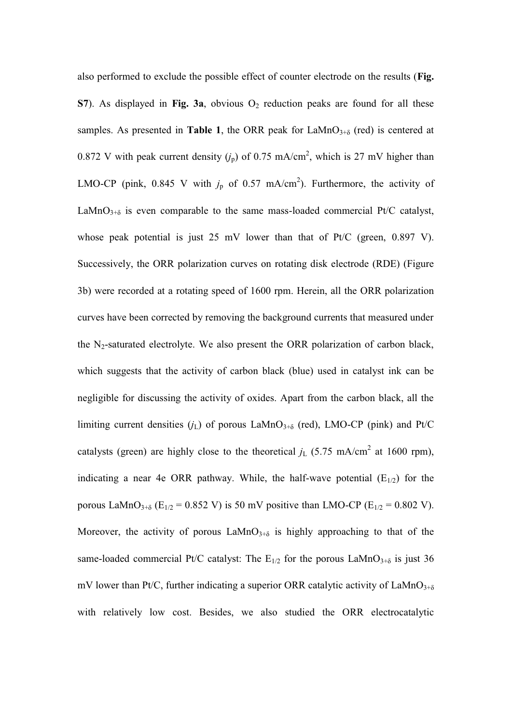also performed to exclude the possible effect of counter electrode on the results (**Fig. S7**). As displayed in Fig. 3a, obvious  $O_2$  reduction peaks are found for all these samples. As presented in **Table 1**, the ORR peak for  $\text{LaMnO}_{3+\delta}$  (red) is centered at 0.872 V with peak current density  $(j_p)$  of 0.75 mA/cm<sup>2</sup>, which is 27 mV higher than LMO-CP (pink, 0.845 V with  $j_p$  of 0.57 mA/cm<sup>2</sup>). Furthermore, the activity of LaMnO<sub>3+ $\delta$ </sub> is even comparable to the same mass-loaded commercial Pt/C catalyst, whose peak potential is just 25 mV lower than that of Pt/C (green, 0.897 V). Successively, the ORR polarization curves on rotating disk electrode (RDE) (Figure 3b) were recorded at a rotating speed of 1600 rpm. Herein, all the ORR polarization curves have been corrected by removing the background currents that measured under the  $N_2$ -saturated electrolyte. We also present the ORR polarization of carbon black, which suggests that the activity of carbon black (blue) used in catalyst ink can be negligible for discussing the activity of oxides. Apart from the carbon black, all the limiting current densities  $(j_L)$  of porous LaMnO<sub>3+ $\delta$ </sub> (red), LMO-CP (pink) and Pt/C catalysts (green) are highly close to the theoretical  $j_L$  (5.75 mA/cm<sup>2</sup> at 1600 rpm), indicating a near 4e ORR pathway. While, the half-wave potential  $(E_{1/2})$  for the porous LaMnO<sub>3+ $\delta$ </sub> (E<sub>1/2</sub> = 0.852 V) is 50 mV positive than LMO-CP (E<sub>1/2</sub> = 0.802 V). Moreover, the activity of porous  $\text{LaMnO}_{3+\delta}$  is highly approaching to that of the same-loaded commercial Pt/C catalyst: The  $E_{1/2}$  for the porous LaMnO<sub>3+8</sub> is just 36 mV lower than Pt/C, further indicating a superior ORR catalytic activity of LaMnO<sub>3+ $\delta$ </sub> with relatively low cost. Besides, we also studied the ORR electrocatalytic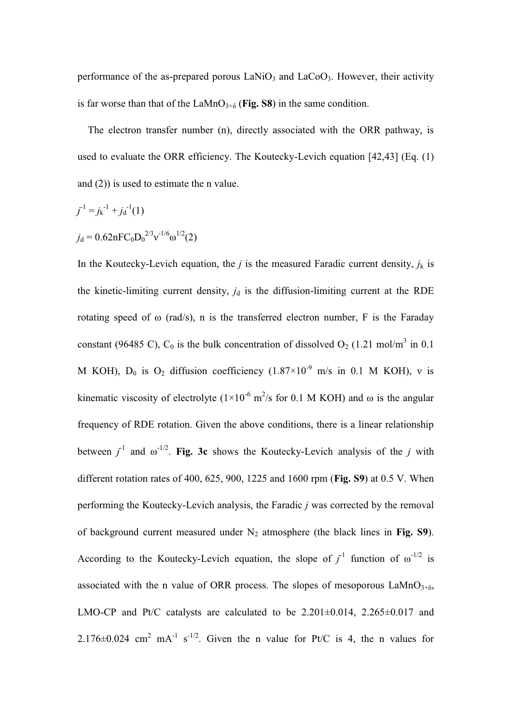performance of the as-prepared porous  $LaNiO<sub>3</sub>$  and  $LaCoO<sub>3</sub>$ . However, their activity is far worse than that of the LaMnO<sub>3+ $\delta$ </sub> (Fig. S8) in the same condition.

The electron transfer number (n), directly associated with the ORR pathway, is used to evaluate the ORR efficiency. The Koutecky-Levich equation [42,43] (Eq. (1) and (2)) is used to estimate the n value.

$$
j^{-1} = j_{k}^{-1} + j_{d}^{-1}(1)
$$
  
\n
$$
j_{d} = 0.62nFC_0D_0^{2/3}v^{-1/6}\omega^{1/2}(2)
$$

In the Koutecky-Levich equation, the *j* is the measured Faradic current density,  $j_k$  is the kinetic-limiting current density,  $j_d$  is the diffusion-limiting current at the RDE rotating speed of  $\omega$  (rad/s), n is the transferred electron number, F is the Faraday constant (96485 C),  $C_0$  is the bulk concentration of dissolved  $O_2$  (1.21 mol/m<sup>3</sup> in 0.1 M KOH),  $D_0$  is  $O_2$  diffusion coefficiency  $(1.87\times10^{-9}$  m/s in 0.1 M KOH), v is kinematic viscosity of electrolyte  $(1 \times 10^{-6} \text{ m}^2/\text{s}$  for 0.1 M KOH) and  $\omega$  is the angular frequency of RDE rotation. Given the above conditions, there is a linear relationship between  $j^{-1}$  and  $\omega^{-1/2}$ . **Fig. 3c** shows the Koutecky-Levich analysis of the *j* with different rotation rates of 400, 625, 900, 1225 and 1600 rpm (**Fig. S9**) at 0.5 V. When performing the Koutecky-Levich analysis, the Faradic *j* was corrected by the removal of background current measured under  $N_2$  atmosphere (the black lines in **Fig. S9**). According to the Koutecky-Levich equation, the slope of  $j^{-1}$  function of  $\omega^{-1/2}$  is associated with the n value of ORR process. The slopes of mesoporous  $\text{LaMnO}_{3+\delta}$ , LMO-CP and Pt/C catalysts are calculated to be  $2.201\pm0.014$ ,  $2.265\pm0.017$  and 2.176 $\pm$ 0.024 cm<sup>2</sup> mA<sup>-1</sup> s<sup>-1/2</sup>. Given the n value for Pt/C is 4, the n values for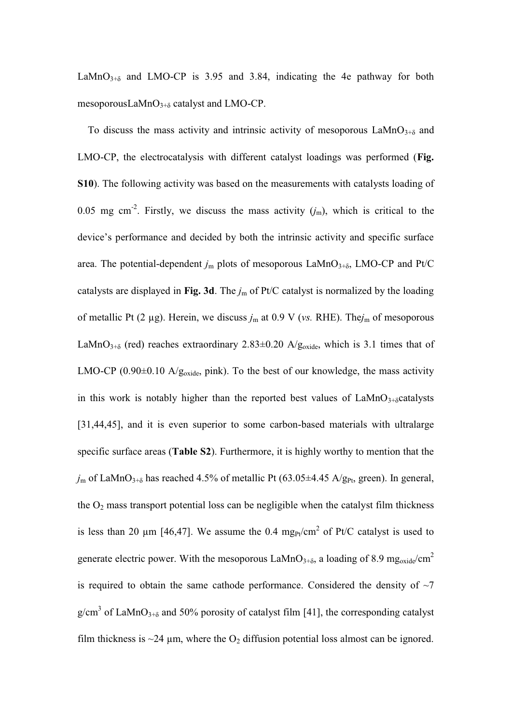LaMnO<sub>3+ $\delta$ </sub> and LMO-CP is 3.95 and 3.84, indicating the 4e pathway for both mesoporousLaMn $O_{3+\delta}$  catalyst and LMO-CP.

To discuss the mass activity and intrinsic activity of mesoporous  $\text{LaMnO}_{3+\delta}$  and LMO-CP, the electrocatalysis with different catalyst loadings was performed (**Fig. S10**). The following activity was based on the measurements with catalysts loading of 0.05 mg cm<sup>-2</sup>. Firstly, we discuss the mass activity  $(j_m)$ , which is critical to the device's performance and decided by both the intrinsic activity and specific surface area. The potential-dependent  $j<sub>m</sub>$  plots of mesoporous LaMnO<sub>3+ $\delta$ </sub>, LMO-CP and Pt/C catalysts are displayed in **Fig. 3d**. The *j*m of Pt/C catalyst is normalized by the loading of metallic Pt (2 µg). Herein, we discuss *j*m at 0.9 V (*vs.* RHE). The*j*m of mesoporous LaMnO<sub>3+ $\delta$ </sub> (red) reaches extraordinary 2.83 $\pm$ 0.20 A/g<sub>oxide</sub>, which is 3.1 times that of LMO-CP (0.90 $\pm$ 0.10 A/g<sub>oxide</sub>, pink). To the best of our knowledge, the mass activity in this work is notably higher than the reported best values of  $LaMnO<sub>3+\delta</sub>$ catalysts [31,44,45], and it is even superior to some carbon-based materials with ultralarge specific surface areas (**Table S2**). Furthermore, it is highly worthy to mention that the  $j<sub>m</sub>$  of LaMnO<sub>3+8</sub> has reached 4.5% of metallic Pt (63.05 $\pm$ 4.45 A/g<sub>Pt</sub>, green). In general, the  $O_2$  mass transport potential loss can be negligible when the catalyst film thickness is less than 20  $\mu$ m [46,47]. We assume the 0.4 mg<sub>Pt</sub>/cm<sup>2</sup> of Pt/C catalyst is used to generate electric power. With the mesoporous LaMnO<sub>3+ $\delta$ </sub>, a loading of 8.9 mg<sub>oxide</sub>/cm<sup>2</sup> is required to obtain the same cathode performance. Considered the density of  $\sim$ 7  $g/cm<sup>3</sup>$  of LaMnO<sub>3+8</sub> and 50% porosity of catalyst film [41], the corresponding catalyst film thickness is  $\sim$ 24  $\mu$ m, where the O<sub>2</sub> diffusion potential loss almost can be ignored.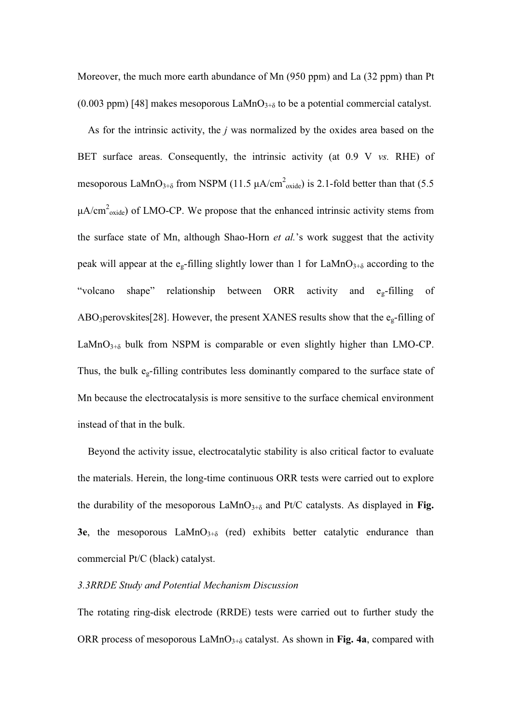Moreover, the much more earth abundance of Mn (950 ppm) and La (32 ppm) than Pt (0.003 ppm) [48] makes mesoporous  $\text{LaMnO}_{3+\delta}$  to be a potential commercial catalyst.

As for the intrinsic activity, the *j* was normalized by the oxides area based on the BET surface areas. Consequently, the intrinsic activity (at 0.9 V *vs.* RHE) of mesoporous LaMnO<sub>3+ $\delta$ </sub> from NSPM (11.5  $\mu$ A/cm<sup>2</sup><sub>oxide</sub>) is 2.1-fold better than that (5.5  $\mu A/cm^2$ <sub>oxide</sub>) of LMO-CP. We propose that the enhanced intrinsic activity stems from the surface state of Mn, although Shao-Horn *et al.*'s work suggest that the activity peak will appear at the e<sub>g</sub>-filling slightly lower than 1 for LaMnO<sub>3+8</sub> according to the "volcano shape" relationship between ORR activity and  $e_{\varphi}$ -filling of ABO3perovskites[28]. However, the present XANES results show that the eg-filling of LaMnO $_{3+\delta}$  bulk from NSPM is comparable or even slightly higher than LMO-CP. Thus, the bulk  $e_g$ -filling contributes less dominantly compared to the surface state of Mn because the electrocatalysis is more sensitive to the surface chemical environment instead of that in the bulk.

Beyond the activity issue, electrocatalytic stability is also critical factor to evaluate the materials. Herein, the long-time continuous ORR tests were carried out to explore the durability of the mesoporous  $\text{LAMnO}_{3+\delta}$  and Pt/C catalysts. As displayed in Fig. **3e**, the mesoporous  $\text{LaMnO}_{3+\delta}$  (red) exhibits better catalytic endurance than commercial Pt/C (black) catalyst.

## *3.3RRDE Study and Potential Mechanism Discussion*

The rotating ring-disk electrode (RRDE) tests were carried out to further study the ORR process of mesoporous  $\text{LaMnO}_{3+\delta}$  catalyst. As shown in Fig. 4a, compared with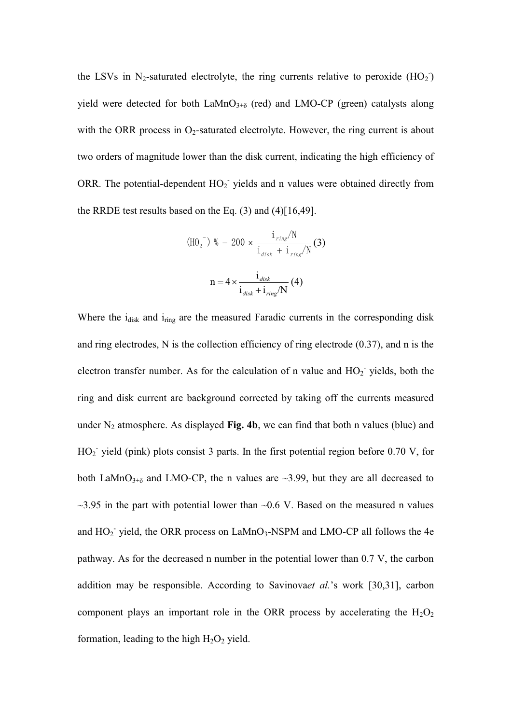the LSVs in N<sub>2</sub>-saturated electrolyte, the ring currents relative to peroxide  $(HO<sub>2</sub>)$ yield were detected for both  $\text{LAMnO}_{3+\delta}$  (red) and LMO-CP (green) catalysts along with the ORR process in  $O_2$ -saturated electrolyte. However, the ring current is about two orders of magnitude lower than the disk current, indicating the high efficiency of ORR. The potential-dependent  $HO_2$  yields and n values were obtained directly from the RRDE test results based on the Eq. (3) and (4)[16,49].

$$
\left(\text{HO}_{2}^{\{-\}}\right) \text{ % = 200} \times \frac{\text{i}_{\text{ring}}/N}{\text{i}_{\text{disk}} + \text{i}_{\text{ring}}/N} \text{ (3)}
$$
\n
$$
n = 4 \times \frac{\text{i}_{\text{disk}}}{\text{i}_{\text{disk}} + \text{i}_{\text{ring}}/N} \text{ (4)}
$$

Where the i<sub>disk</sub> and i<sub>ring</sub> are the measured Faradic currents in the corresponding disk and ring electrodes, N is the collection efficiency of ring electrode (0.37), and n is the electron transfer number. As for the calculation of n value and  $HO_2$  yields, both the ring and disk current are background corrected by taking off the currents measured under  $N_2$  atmosphere. As displayed **Fig. 4b**, we can find that both n values (blue) and  $HO<sub>2</sub>$  yield (pink) plots consist 3 parts. In the first potential region before 0.70 V, for both LaMnO<sub>3+ $\delta$ </sub> and LMO-CP, the n values are  $\sim$ 3.99, but they are all decreased to  $\sim$ 3.95 in the part with potential lower than  $\sim$ 0.6 V. Based on the measured n values and  $HO_2$ <sup>-</sup> yield, the ORR process on LaMnO<sub>3</sub>-NSPM and LMO-CP all follows the 4e pathway. As for the decreased n number in the potential lower than 0.7 V, the carbon addition may be responsible. According to Savinovaet al.'s work [30,31], carbon component plays an important role in the ORR process by accelerating the  $H_2O_2$ formation, leading to the high  $H_2O_2$  yield.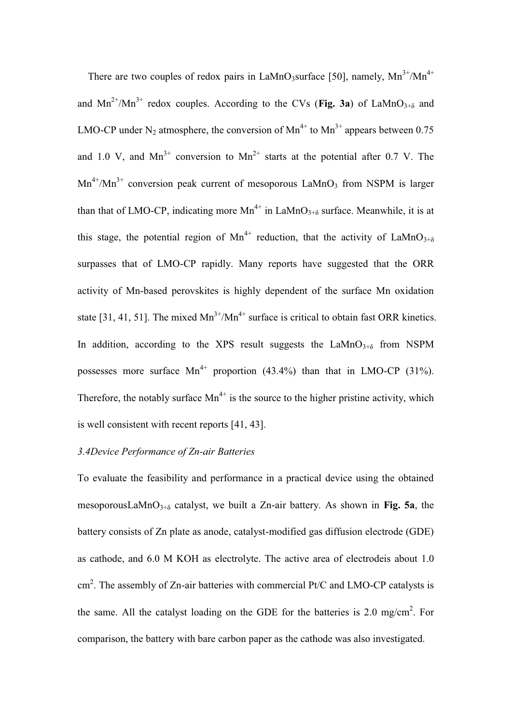There are two couples of redox pairs in LaMnO<sub>3</sub>surface [50], namely,  $Mn^{3+}/Mn^{4+}$ and  $Mn^{2+}/Mn^{3+}$  redox couples. According to the CVs (Fig. 3a) of LaMnO<sub>3+8</sub> and LMO-CP under N<sub>2</sub> atmosphere, the conversion of  $Mn^{4+}$  to  $Mn^{3+}$  appears between 0.75 and 1.0 V, and  $Mn^{3+}$  conversion to  $Mn^{2+}$  starts at the potential after 0.7 V. The  $Mn^{4+}/Mn^{3+}$  conversion peak current of mesoporous LaMnO<sub>3</sub> from NSPM is larger than that of LMO-CP, indicating more  $Mn^{4+}$  in LaMnO<sub>3+ $\delta$ </sub> surface. Meanwhile, it is at this stage, the potential region of Mn<sup>4+</sup> reduction, that the activity of LaMnO<sub>3+ $\delta$ </sub> surpasses that of LMO-CP rapidly. Many reports have suggested that the ORR activity of Mn-based perovskites is highly dependent of the surface Mn oxidation state [31, 41, 51]. The mixed  $Mn^{3+}/Mn^{4+}$  surface is critical to obtain fast ORR kinetics. In addition, according to the XPS result suggests the  $\text{LaMnO}_{3+\delta}$  from NSPM possesses more surface  $Mn^{4+}$  proportion (43.4%) than that in LMO-CP (31%). Therefore, the notably surface  $Mn^{4+}$  is the source to the higher pristine activity, which is well consistent with recent reports [41, 43].

## *3.4Device Performance of Zn-air Batteries*

To evaluate the feasibility and performance in a practical device using the obtained mesoporousLaMnO $_{3+\delta}$  catalyst, we built a Zn-air battery. As shown in **Fig. 5a**, the battery consists of Zn plate as anode, catalyst-modified gas diffusion electrode (GDE) as cathode, and 6.0 M KOH as electrolyte. The active area of electrodeis about 1.0  $\text{cm}^2$ . The assembly of Zn-air batteries with commercial Pt/C and LMO-CP catalysts is the same. All the catalyst loading on the GDE for the batteries is 2.0 mg/cm<sup>2</sup>. For comparison, the battery with bare carbon paper as the cathode was also investigated.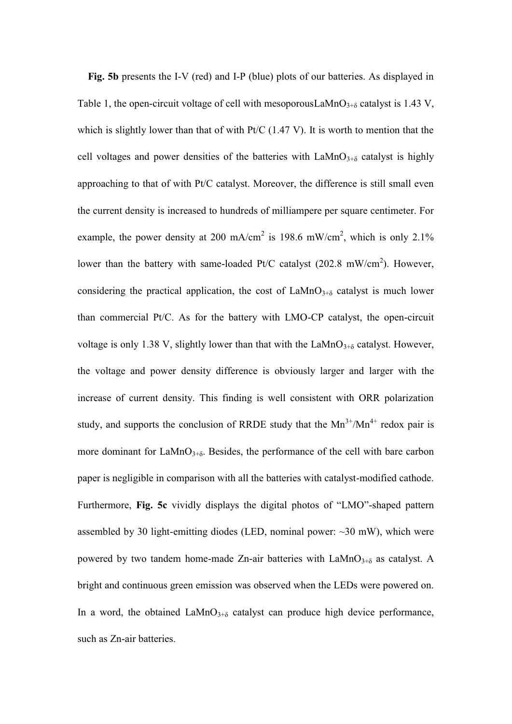**Fig. 5b** presents the I-V (red) and I-P (blue) plots of our batteries. As displayed in Table 1, the open-circuit voltage of cell with mesoporousLaMnO<sub>3+ $\delta$ </sub> catalyst is 1.43 V, which is slightly lower than that of with Pt/C (1.47 V). It is worth to mention that the cell voltages and power densities of the batteries with  $\text{LaMnO}_{3+\delta}$  catalyst is highly approaching to that of with Pt/C catalyst. Moreover, the difference is still small even the current density is increased to hundreds of milliampere per square centimeter. For example, the power density at 200 mA/cm<sup>2</sup> is 198.6 mW/cm<sup>2</sup>, which is only 2.1% lower than the battery with same-loaded Pt/C catalyst  $(202.8 \text{ mW/cm}^2)$ . However, considering the practical application, the cost of  $\text{LaMnO}_{3+\delta}$  catalyst is much lower than commercial Pt/C. As for the battery with LMO-CP catalyst, the open-circuit voltage is only 1.38 V, slightly lower than that with the LaMnO<sub>3+ $\delta$ </sub> catalyst. However, the voltage and power density difference is obviously larger and larger with the increase of current density. This finding is well consistent with ORR polarization study, and supports the conclusion of RRDE study that the  $Mn^{3+}/Mn^{4+}$  redox pair is more dominant for  $\text{LaMnO}_{3+\delta}$ . Besides, the performance of the cell with bare carbon paper is negligible in comparison with all the batteries with catalyst-modified cathode. Furthermore, **Fig. 5c** vividly displays the digital photos of "LMO"-shaped pattern assembled by 30 light-emitting diodes (LED, nominal power:  $\sim$ 30 mW), which were powered by two tandem home-made Zn-air batteries with  $LaMnO<sub>3+\delta</sub>$  as catalyst. A bright and continuous green emission was observed when the LEDs were powered on. In a word, the obtained  $\text{LaMnO}_{3+\delta}$  catalyst can produce high device performance, such as Zn-air batteries.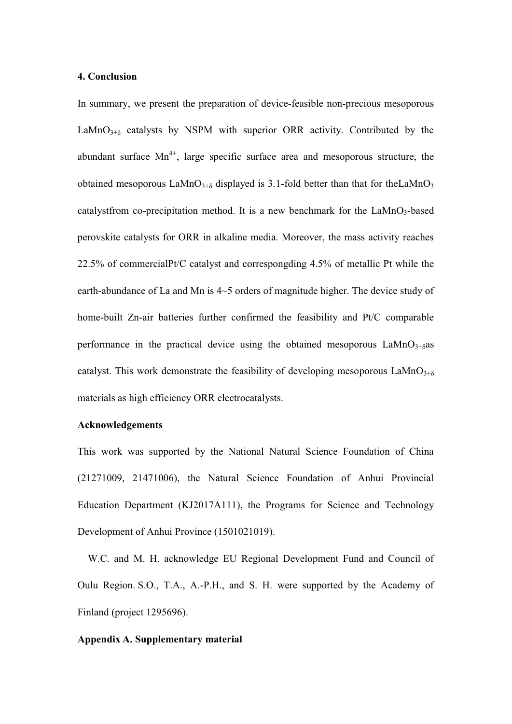## **4. Conclusion**

In summary, we present the preparation of device-feasible non-precious mesoporous LaMnO $_{3+\delta}$  catalysts by NSPM with superior ORR activity. Contributed by the abundant surface  $Mn^{4+}$ , large specific surface area and mesoporous structure, the obtained mesoporous LaMnO<sub>3+ $\delta$ </sub> displayed is 3.1-fold better than that for theLaMnO<sub>3</sub> catalystfrom co-precipitation method. It is a new benchmark for the  $LaMnO<sub>3</sub>$ -based perovskite catalysts for ORR in alkaline media. Moreover, the mass activity reaches 22.5% of commercialPt/C catalyst and correspongding 4.5% of metallic Pt while the earth-abundance of La and Mn is 4~5 orders of magnitude higher. The device study of home-built Zn-air batteries further confirmed the feasibility and Pt/C comparable performance in the practical device using the obtained mesoporous  $LaMnO<sub>3+\delta</sub>$ as catalyst. This work demonstrate the feasibility of developing mesoporous  $\text{LaMnO}_{3+\delta}$ materials as high efficiency ORR electrocatalysts.

## **Acknowledgements**

This work was supported by the National Natural Science Foundation of China (21271009, 21471006), the Natural Science Foundation of Anhui Provincial Education Department (KJ2017A111), the Programs for Science and Technology Development of Anhui Province (1501021019).

W.C. and M. H. acknowledge EU Regional Development Fund and Council of Oulu Region. S.O., T.A., A.-P.H., and S. H. were supported by the Academy of Finland (project 1295696).

### **Appendix A. Supplementary material**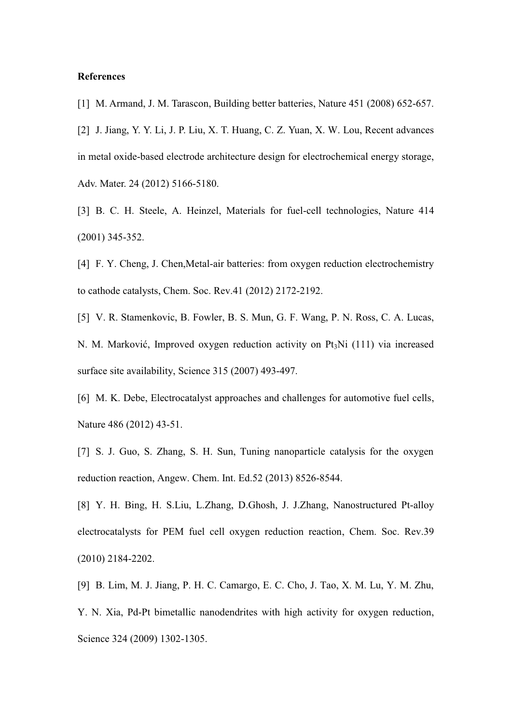## **References**

[1] M. Armand, J. M. Tarascon, Building better batteries, Nature 451 (2008) 652-657.

[2] J. Jiang, Y. Y. Li, J. P. Liu, X. T. Huang, C. Z. Yuan, X. W. Lou, Recent advances in metal oxide-based electrode architecture design for electrochemical energy storage, Adv. Mater. 24 (2012) 5166-5180.

[3] B. C. H. Steele, A. Heinzel, Materials for fuel-cell technologies, Nature 414 (2001) 345-352.

[4] F. Y. Cheng, J. Chen, Metal-air batteries: from oxygen reduction electrochemistry to cathode catalysts, Chem. Soc. Rev.41 (2012) 2172-2192.

[5] V. R. Stamenkovic, B. Fowler, B. S. Mun, G. F. Wang, P. N. Ross, C. A. Lucas, N. M. Marković, Improved oxygen reduction activity on  $Pt<sub>3</sub>Ni$  (111) via increased surface site availability, Science 315 (2007) 493-497.

[6] M. K. Debe, Electrocatalyst approaches and challenges for automotive fuel cells, Nature 486 (2012) 43-51.

[7] S. J. Guo, S. Zhang, S. H. Sun, Tuning nanoparticle catalysis for the oxygen reduction reaction, Angew. Chem. Int. Ed.52 (2013) 8526-8544.

[8] Y. H. Bing, H. S.Liu, L.Zhang, D.Ghosh, J. J.Zhang, Nanostructured Pt-alloy electrocatalysts for PEM fuel cell oxygen reduction reaction, Chem. Soc. Rev.39 (2010) 2184-2202.

[9] B. Lim, M. J. Jiang, P. H. C. Camargo, E. C. Cho, J. Tao, X. M. Lu, Y. M. Zhu, Y. N. Xia, Pd-Pt bimetallic nanodendrites with high activity for oxygen reduction, Science 324 (2009) 1302-1305.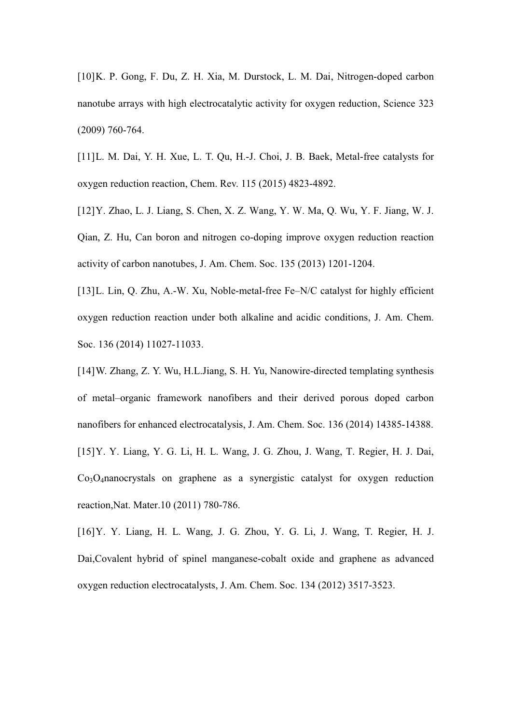[10] K. P. Gong, F. Du, Z. H. Xia, M. Durstock, L. M. Dai, Nitrogen-doped carbon nanotube arrays with high electrocatalytic activity for oxygen reduction, Science 323 (2009) 760-764.

[11] L. M. Dai, Y. H. Xue, L. T. Qu, H.-J. Choi, J. B. Baek, Metal-free catalysts for oxygen reduction reaction, Chem. Rev. 115 (2015) 4823-4892.

[12] Y. Zhao, L. J. Liang, S. Chen, X. Z. Wang, Y. W. Ma, Q. Wu, Y. F. Jiang, W. J. Qian, Z. Hu, Can boron and nitrogen co-doping improve oxygen reduction reaction activity of carbon nanotubes, J. Am. Chem. Soc. 135 (2013) 1201-1204.

[13] L. Lin, Q. Zhu, A.-W. Xu, Noble-metal-free Fe-N/C catalyst for highly efficient oxygen reduction reaction under both alkaline and acidic conditions, J. Am. Chem. Soc. 136 (2014) 11027-11033.

[14] W. Zhang, Z. Y. Wu, H.L.Jiang, S. H. Yu, Nanowire-directed templating synthesis of metal±organic framework nanofibers and their derived porous doped carbon nanofibers for enhanced electrocatalysis, J. Am. Chem. Soc. 136 (2014) 14385-14388. [15] Y. Y. Liang, Y. G. Li, H. L. Wang, J. G. Zhou, J. Wang, T. Regier, H. J. Dai, Co3O4nanocrystals on graphene as a synergistic catalyst for oxygen reduction reaction,Nat. Mater.10 (2011) 780-786.

[16] Y. Y. Liang, H. L. Wang, J. G. Zhou, Y. G. Li, J. Wang, T. Regier, H. J. Dai,Covalent hybrid of spinel manganese-cobalt oxide and graphene as advanced oxygen reduction electrocatalysts, J. Am. Chem. Soc. 134 (2012) 3517-3523.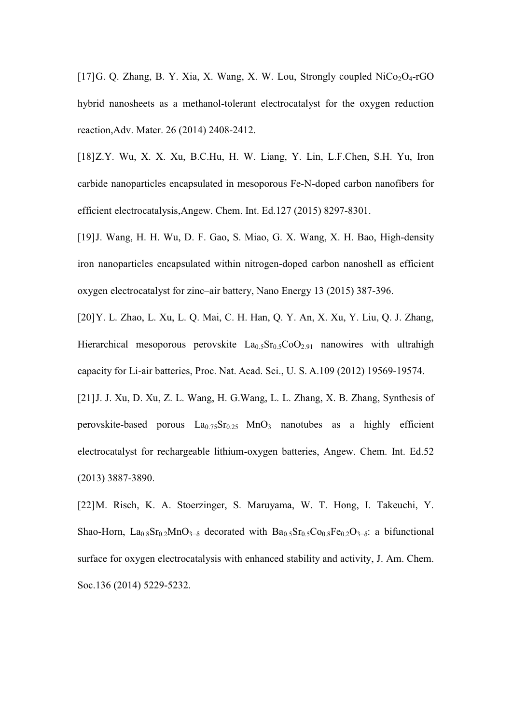[17] G. Q. Zhang, B. Y. Xia, X. Wang, X. W. Lou, Strongly coupled  $NiCo<sub>2</sub>O<sub>4</sub>$ -rGO hybrid nanosheets as a methanol-tolerant electrocatalyst for the oxygen reduction reaction,Adv. Mater. 26 (2014) 2408-2412.

[18] Z.Y. Wu, X. X. Xu, B.C.Hu, H. W. Liang, Y. Lin, L.F.Chen, S.H. Yu, Iron carbide nanoparticles encapsulated in mesoporous Fe-N-doped carbon nanofibers for efficient electrocatalysis,Angew. Chem. Int. Ed.127 (2015) 8297-8301.

[19] J. Wang, H. H. Wu, D. F. Gao, S. Miao, G. X. Wang, X. H. Bao, High-density iron nanoparticles encapsulated within nitrogen-doped carbon nanoshell as efficient oxygen electrocatalyst for zinc-air battery, Nano Energy 13 (2015) 387-396.

[20] Y. L. Zhao, L. Xu, L. Q. Mai, C. H. Han, Q. Y. An, X. Xu, Y. Liu, Q. J. Zhang, Hierarchical mesoporous perovskite  $La_0.5r_0.5C_0O_{2.91}$  nanowires with ultrahigh capacity for Li-air batteries, Proc. Nat. Acad. Sci., U. S. A.109 (2012) 19569-19574.

[21] J. J. Xu, D. Xu, Z. L. Wang, H. G. Wang, L. L. Zhang, X. B. Zhang, Synthesis of perovskite-based porous  $La<sub>0.75</sub>Sr<sub>0.25</sub> MnO<sub>3</sub>$  nanotubes as a highly efficient electrocatalyst for rechargeable lithium-oxygen batteries, Angew. Chem. Int. Ed.52 (2013) 3887-3890.

[22] M. Risch, K. A. Stoerzinger, S. Maruyama, W. T. Hong, I. Takeuchi, Y. Shao-Horn,  $La_{0.8}Sr_{0.2}MnO_{3-\delta}$  decorated with  $Ba_{0.5}Sr_{0.5}Co_{0.8}Fe_{0.2}O_{3-\delta}$ : a bifunctional surface for oxygen electrocatalysis with enhanced stability and activity, J. Am. Chem. Soc.136 (2014) 5229-5232.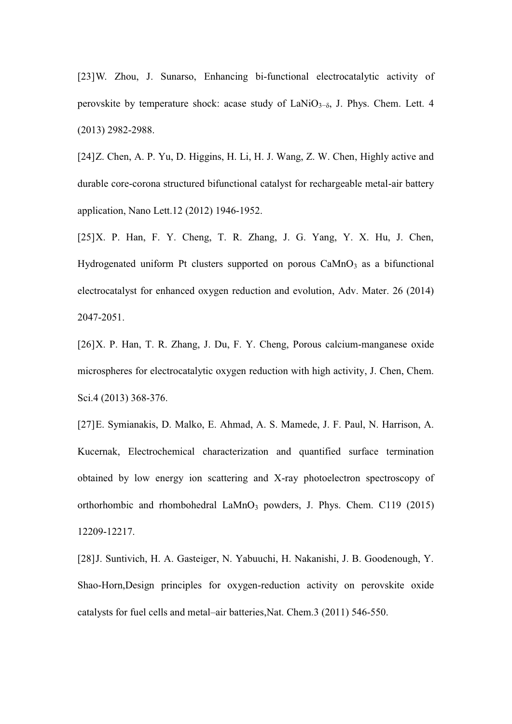[23] W. Zhou, J. Sunarso, Enhancing bi-functional electrocatalytic activity of perovskite by temperature shock: acase study of  $\text{LaNiO}_{3-\delta}$ , J. Phys. Chem. Lett. 4 (2013) 2982-2988.

[24] Z. Chen, A. P. Yu, D. Higgins, H. Li, H. J. Wang, Z. W. Chen, Highly active and durable core-corona structured bifunctional catalyst for rechargeable metal-air battery application, Nano Lett.12 (2012) 1946-1952.

 $[25]$  X. P. Han, F. Y. Cheng, T. R. Zhang, J. G. Yang, Y. X. Hu, J. Chen, Hydrogenated uniform Pt clusters supported on porous  $CaMnO<sub>3</sub>$  as a bifunctional electrocatalyst for enhanced oxygen reduction and evolution, Adv. Mater. 26 (2014) 2047-2051.

[26] X. P. Han, T. R. Zhang, J. Du, F. Y. Cheng, Porous calcium-manganese oxide microspheres for electrocatalytic oxygen reduction with high activity, J. Chen, Chem. Sci.4 (2013) 368-376.

[27] E. Symianakis, D. Malko, E. Ahmad, A. S. Mamede, J. F. Paul, N. Harrison, A. Kucernak, Electrochemical characterization and quantified surface termination obtained by low energy ion scattering and X-ray photoelectron spectroscopy of orthorhombic and rhombohedral  $\text{LaMnO}_3$  powders, J. Phys. Chem. C119 (2015) 12209-12217.

[28] J. Suntivich, H. A. Gasteiger, N. Yabuuchi, H. Nakanishi, J. B. Goodenough, Y. Shao-Horn,Design principles for oxygen-reduction activity on perovskite oxide catalysts for fuel cells and metal-air batteries, Nat. Chem.3 (2011) 546-550.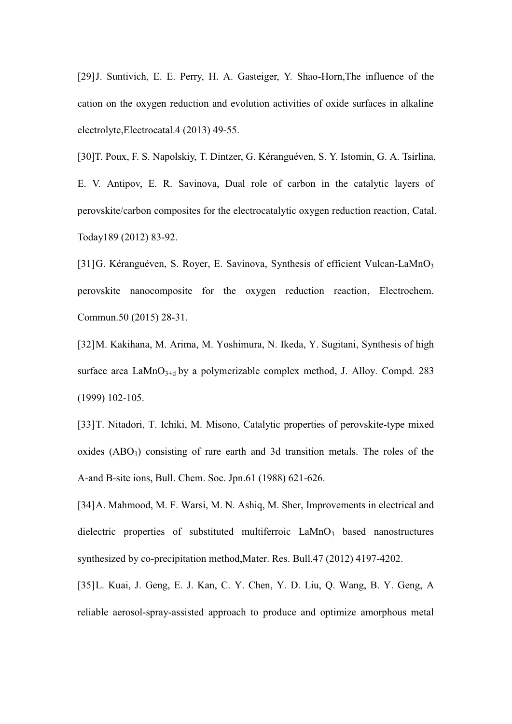[29] J. Suntivich, E. E. Perry, H. A. Gasteiger, Y. Shao-Horn, The influence of the cation on the oxygen reduction and evolution activities of oxide surfaces in alkaline electrolyte,Electrocatal.4 (2013) 49-55.

[30]T. Poux, F. S. Napolskiy, T. Dintzer, G. Kéranguéven, S. Y. Istomin, G. A. Tsirlina, E. V. Antipov, E. R. Savinova, Dual role of carbon in the catalytic layers of perovskite/carbon composites for the electrocatalytic oxygen reduction reaction, Catal. Today189 (2012) 83-92.

[31] G. Kéranguéven, S. Royer, E. Savinova, Synthesis of efficient Vulcan-LaMnO<sub>3</sub> perovskite nanocomposite for the oxygen reduction reaction, Electrochem. Commun.50 (2015) 28-31.

[32] M. Kakihana, M. Arima, M. Yoshimura, N. Ikeda, Y. Sugitani, Synthesis of high surface area  $\text{LaMnO}_{3+d}$  by a polymerizable complex method, J. Alloy. Compd. 283 (1999) 102-105.

[33] T. Nitadori, T. Ichiki, M. Misono, Catalytic properties of perovskite-type mixed oxides  $(ABO<sub>3</sub>)$  consisting of rare earth and 3d transition metals. The roles of the A-and B-site ions, Bull. Chem. Soc. Jpn.61 (1988) 621-626.

[34] A. Mahmood, M. F. Warsi, M. N. Ashiq, M. Sher, Improvements in electrical and dielectric properties of substituted multiferroic  $LaMnO<sub>3</sub>$  based nanostructures synthesized by co-precipitation method,Mater. Res. Bull.47 (2012) 4197-4202.

[35] L. Kuai, J. Geng, E. J. Kan, C. Y. Chen, Y. D. Liu, Q. Wang, B. Y. Geng, A reliable aerosol-spray-assisted approach to produce and optimize amorphous metal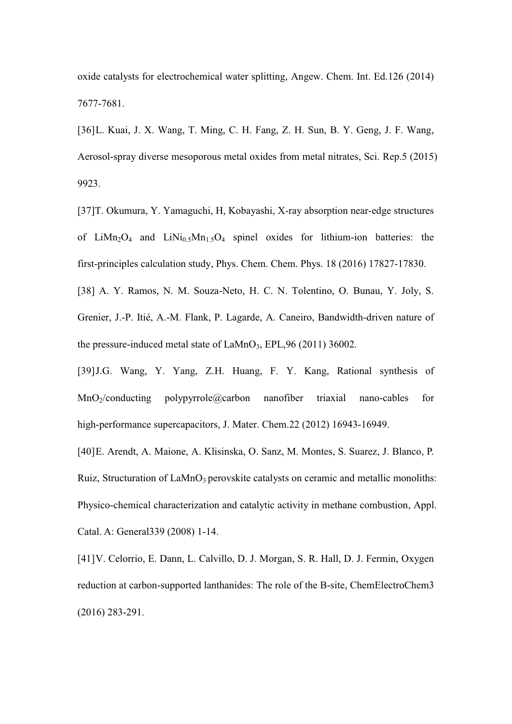oxide catalysts for electrochemical water splitting, Angew. Chem. Int. Ed.126 (2014) 7677-7681.

[36] L. Kuai, J. X. Wang, T. Ming, C. H. Fang, Z. H. Sun, B. Y. Geng, J. F. Wang, Aerosol-spray diverse mesoporous metal oxides from metal nitrates, Sci. Rep.5 (2015) 9923.

[37]T. Okumura, Y. Yamaguchi, H, Kobayashi, X-ray absorption near-edge structures of LiMn<sub>2</sub>O<sub>4</sub> and LiNi<sub>0.5</sub>Mn<sub>1.5</sub>O<sub>4</sub> spinel oxides for lithium-ion batteries: the first-principles calculation study, Phys. Chem. Chem. Phys. 18 (2016) 17827-17830.

[38] A. Y. Ramos, N. M. Souza-Neto, H. C. N. Tolentino, O. Bunau, Y. Joly, S. Grenier, J.-P. Itié, A.-M. Flank, P. Lagarde, A. Caneiro, Bandwidth-driven nature of the pressure-induced metal state of  $LaMnO<sub>3</sub>$ , EPL,96 (2011) 36002.

[39] J.G. Wang, Y. Yang, Z.H. Huang, F. Y. Kang, Rational synthesis of MnO2/conducting polypyrrole@carbon nanofiber triaxial nano-cables for high-performance supercapacitors, J. Mater. Chem.22 (2012) 16943-16949.

[40] E. Arendt, A. Maione, A. Klisinska, O. Sanz, M. Montes, S. Suarez, J. Blanco, P. Ruiz, Structuration of  $LaMnO<sub>3</sub>$  perovskite catalysts on ceramic and metallic monoliths: Physico-chemical characterization and catalytic activity in methane combustion, Appl. Catal. A: General339 (2008) 1-14.

[41] V. Celorrio, E. Dann, L. Calvillo, D. J. Morgan, S. R. Hall, D. J. Fermin, Oxygen reduction at carbon-supported lanthanides: The role of the B-site, ChemElectroChem3 (2016) 283-291.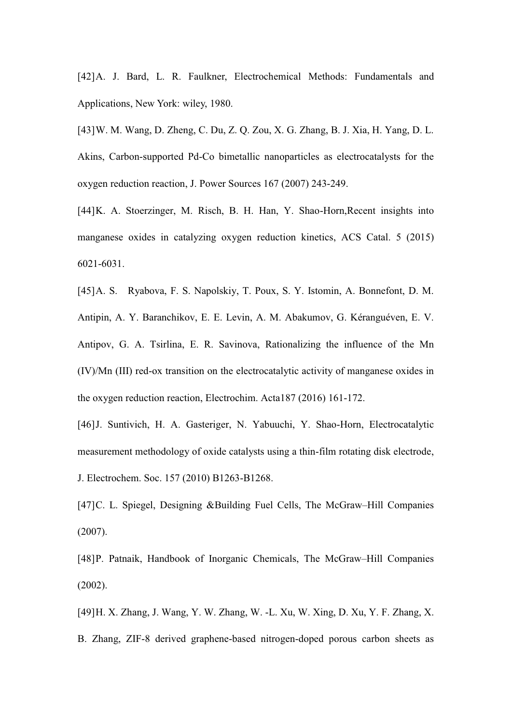[42] A. J. Bard, L. R. Faulkner, Electrochemical Methods: Fundamentals and Applications, New York: wiley, 1980.

[43] W. M. Wang, D. Zheng, C. Du, Z. Q. Zou, X. G. Zhang, B. J. Xia, H. Yang, D. L. Akins, Carbon-supported Pd-Co bimetallic nanoparticles as electrocatalysts for the oxygen reduction reaction, J. Power Sources 167 (2007) 243-249.

[44] K. A. Stoerzinger, M. Risch, B. H. Han, Y. Shao-Horn, Recent insights into manganese oxides in catalyzing oxygen reduction kinetics, ACS Catal. 5 (2015) 6021-6031.

[45] A. S. Ryabova, F. S. Napolskiy, T. Poux, S. Y. Istomin, A. Bonnefont, D. M. Antipin, A. Y. Baranchikov, E. E. Levin, A. M. Abakumov, G. Kéranguéven, E. V. Antipov, G. A. Tsirlina, E. R. Savinova, Rationalizing the influence of the Mn (IV)/Mn (III) red-ox transition on the electrocatalytic activity of manganese oxides in the oxygen reduction reaction, Electrochim. Acta187 (2016) 161-172.

[46] J. Suntivich, H. A. Gasteriger, N. Yabuuchi, Y. Shao-Horn, Electrocatalytic measurement methodology of oxide catalysts using a thin-film rotating disk electrode, J. Electrochem. Soc. 157 (2010) B1263-B1268.

[47] C. L. Spiegel, Designing &Building Fuel Cells, The McGraw–Hill Companies (2007).

[48] P. Patnaik, Handbook of Inorganic Chemicals, The McGraw-Hill Companies (2002).

[49] H. X. Zhang, J. Wang, Y. W. Zhang, W. -L. Xu, W. Xing, D. Xu, Y. F. Zhang, X. B. Zhang, ZIF-8 derived graphene-based nitrogen-doped porous carbon sheets as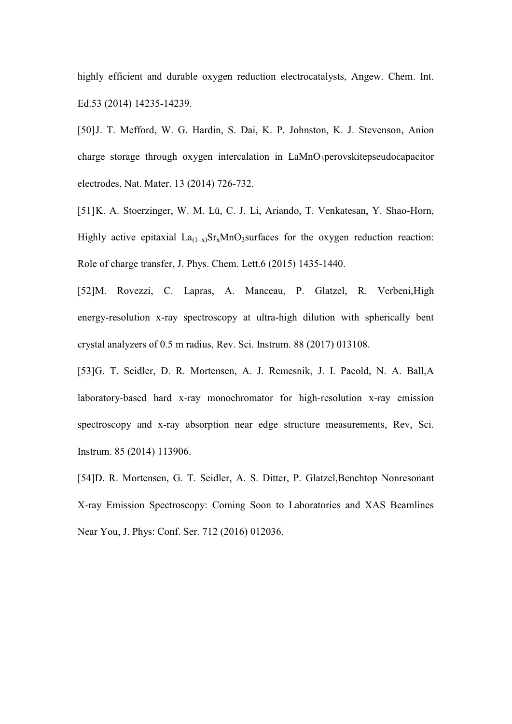highly efficient and durable oxygen reduction electrocatalysts, Angew. Chem. Int. Ed.53 (2014) 14235-14239.

[50] J. T. Mefford, W. G. Hardin, S. Dai, K. P. Johnston, K. J. Stevenson, Anion charge storage through oxygen intercalation in LaMnO3perovskitepseudocapacitor electrodes, Nat. Mater. 13 (2014) 726-732.

[51] K. A. Stoerzinger, W. M. Lü, C. J. Li, Ariando, T. Venkatesan, Y. Shao-Horn, Highly active epitaxial  $La_{(1-x)}Sr_xMnO_3$ surfaces for the oxygen reduction reaction: Role of charge transfer, J. Phys. Chem. Lett.6 (2015) 1435-1440.

[52]M. Rovezzi, C. Lapras, A. Manceau, P. Glatzel, R. Verbeni,High energy-resolution x-ray spectroscopy at ultra-high dilution with spherically bent crystal analyzers of 0.5 m radius, Rev. Sci. Instrum. 88 (2017) 013108.

[53]G. T. Seidler, D. R. Mortensen, A. J. Remesnik, J. I. Pacold, N. A. Ball,A laboratory-based hard x-ray monochromator for high-resolution x-ray emission spectroscopy and x-ray absorption near edge structure measurements, Rev, Sci. Instrum. 85 (2014) 113906.

[54]D. R. Mortensen, G. T. Seidler, A. S. Ditter, P. Glatzel,Benchtop Nonresonant X-ray Emission Spectroscopy: Coming Soon to Laboratories and XAS Beamlines Near You, J. Phys: Conf. Ser. 712 (2016) 012036.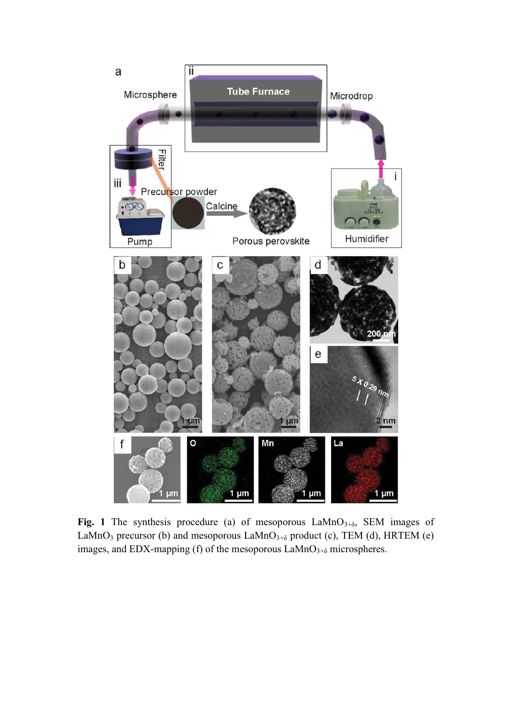

**Fig. 1** The synthesis procedure (a) of mesoporous  $\text{LaMnO}_{3+\delta}$ , SEM images of LaMnO<sub>3</sub> precursor (b) and mesoporous LaMnO<sub>3+ $\delta$ </sub> product (c), TEM (d), HRTEM (e) images, and EDX-mapping (f) of the mesoporous  $\text{LaMnO}_{3+\delta}$  microspheres.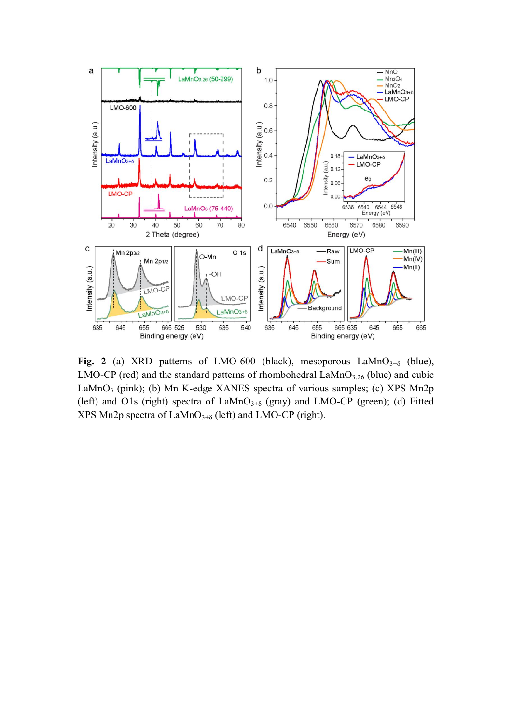

Fig. 2 (a) XRD patterns of LMO-600 (black), mesoporous LaMnO $_{3+\delta}$  (blue), LMO-CP (red) and the standard patterns of rhombohedral  $\text{LaMnO}_{3.26}$  (blue) and cubic LaMnO<sub>3</sub> (pink); (b) Mn K-edge XANES spectra of various samples; (c) XPS Mn2p (left) and O1s (right) spectra of  $LaMnO<sub>3+\delta</sub>$  (gray) and LMO-CP (green); (d) Fitted XPS Mn2p spectra of  $\text{LAMnO}_{3+\delta}$  (left) and LMO-CP (right).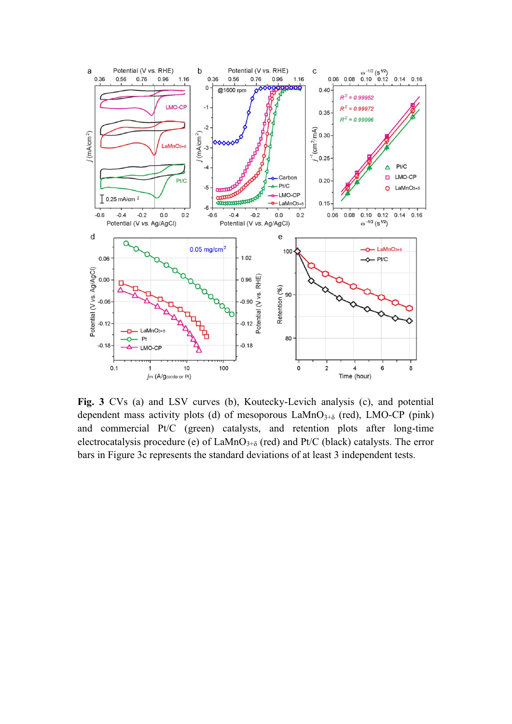

**Fig. 3** CVs (a) and LSV curves (b), Koutecky-Levich analysis (c), and potential dependent mass activity plots (d) of mesoporous  $\text{LaMnO}_{3+\delta}$  (red), LMO-CP (pink) and commercial Pt/C (green) catalysts, and retention plots after long-time electrocatalysis procedure (e) of  $\text{LaMnO}_{3+\delta}$  (red) and Pt/C (black) catalysts. The error bars in Figure 3c represents the standard deviations of at least 3 independent tests.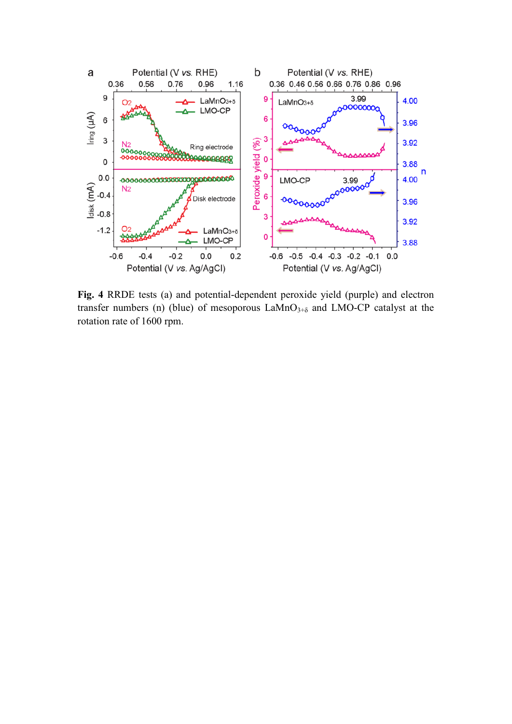

**Fig. 4** RRDE tests (a) and potential-dependent peroxide yield (purple) and electron transfer numbers (n) (blue) of mesoporous  $LaMnO<sub>3+\delta</sub>$  and  $LMO-CP$  catalyst at the rotation rate of 1600 rpm.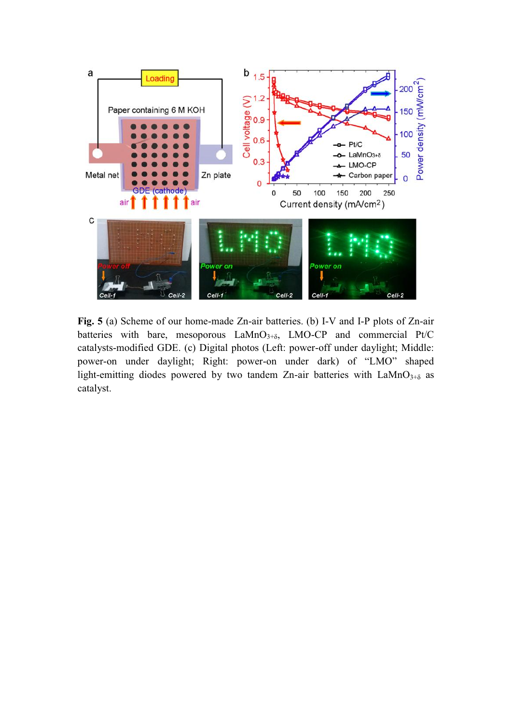

**Fig. 5** (a) Scheme of our home-made Zn-air batteries. (b) I-V and I-P plots of Zn-air batteries with bare, mesoporous  $LaMnO<sub>3+\delta</sub>$ ,  $LMO-CP$  and commercial Pt/C catalysts-modified GDE. (c) Digital photos (Left: power-off under daylight; Middle: power-on under daylight; Right: power-on under dark) of "LMO" shaped light-emitting diodes powered by two tandem Zn-air batteries with  $LaMnO<sub>3+\delta</sub>$  as catalyst.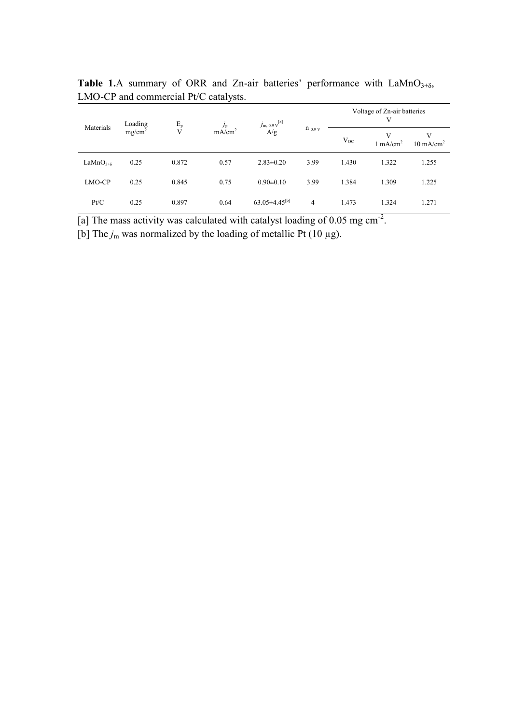| Materials           | Loading<br>mg/cm <sup>2</sup> | $E_p$<br>V | $J_{\rm p}$<br>mA/cm <sup>2</sup> | $j_{\rm m, 0.9 \, v}^{\rm [a]}$<br>$\rm A/g$ | $n_{0.9 V}$ | Voltage of Zn-air batteries<br>V |                          |                      |
|---------------------|-------------------------------|------------|-----------------------------------|----------------------------------------------|-------------|----------------------------------|--------------------------|----------------------|
|                     |                               |            |                                   |                                              |             | $V_{OC}$                         | V<br>$1 \text{ mA/cm}^2$ | $10 \text{ mA/cm}^2$ |
| LaMn $O_{3+\delta}$ | 0.25                          | 0.872      | 0.57                              | $2.83 \pm 0.20$                              | 3.99        | 1.430                            | 1.322                    | 1.255                |
| LMO-CP              | 0.25                          | 0.845      | 0.75                              | $0.90 \pm 0.10$                              | 3.99        | 1.384                            | 1.309                    | 1.225                |
| Pt/C                | 0.25                          | 0.897      | 0.64                              | $63.05\pm4.45^{[b]}$                         | 4           | 1.473                            | 1.324                    | 1.271                |

**Table 1.**A summary of ORR and Zn-air batteries' performance with  $\text{LaMnO}_{3+\delta}$ , LMO-CP and commercial Pt/C catalysts.

[a] The mass activity was calculated with catalyst loading of 0.05 mg cm<sup>-2</sup>.

[b] The  $j_m$  was normalized by the loading of metallic Pt (10  $\mu$ g).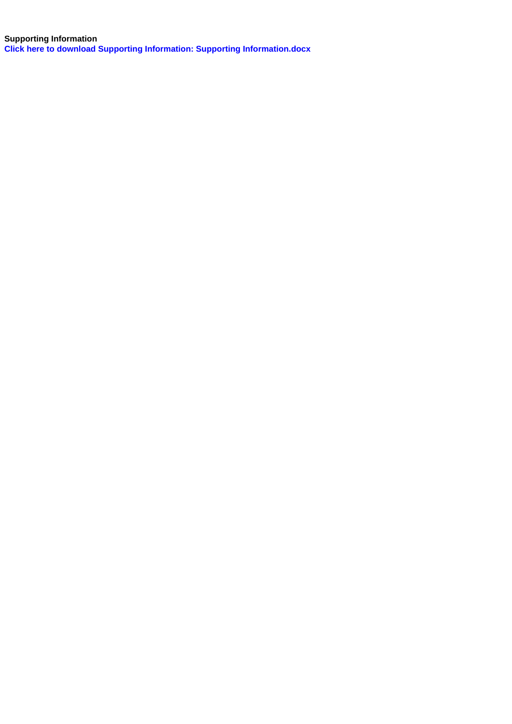**Supporting Information Click here to download Supporting Information: Supporting Information.docx**